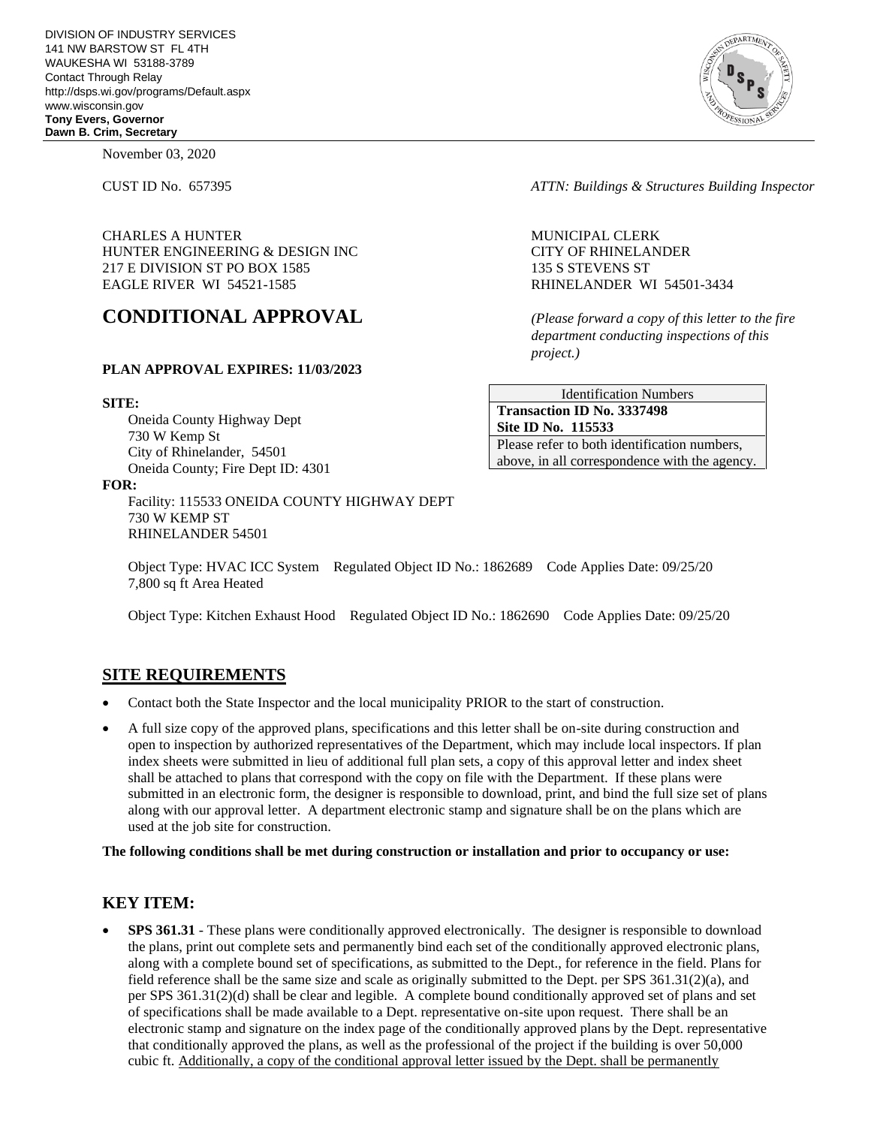November 03, 2020

CHARLES A HUNTER MUNICIPAL CLERK HUNTER ENGINEERING & DESIGN INC CITY OF RHINELANDER 217 E DIVISION ST PO BOX 1585 135 S STEVENS ST EAGLE RIVER WI 54521-1585 RHINELANDER WI 54501-3434

# **CONDITIONAL APPROVAL** *(Please forward a copy of this letter to the fire*

#### **PLAN APPROVAL EXPIRES: 11/03/2023**

#### **SITE:**

Oneida County Highway Dept 730 W Kemp St City of Rhinelander, 54501 Oneida County; Fire Dept ID: 4301

#### **FOR:**

Facility: 115533 ONEIDA COUNTY HIGHWAY DEPT 730 W KEMP ST RHINELANDER 54501

CUST ID No. 657395 *ATTN: Buildings & Structures Building Inspector*

*department conducting inspections of this project.)*

Identification Numbers **Transaction ID No. 3337498 Site ID No. 115533**  Please refer to both identification numbers, above, in all correspondence with the agency.

Object Type: HVAC ICC System Regulated Object ID No.: 1862689 Code Applies Date: 09/25/20 7,800 sq ft Area Heated

Object Type: Kitchen Exhaust Hood Regulated Object ID No.: 1862690 Code Applies Date: 09/25/20

### **SITE REQUIREMENTS**

- Contact both the State Inspector and the local municipality PRIOR to the start of construction.
- A full size copy of the approved plans, specifications and this letter shall be on-site during construction and open to inspection by authorized representatives of the Department, which may include local inspectors. If plan index sheets were submitted in lieu of additional full plan sets, a copy of this approval letter and index sheet shall be attached to plans that correspond with the copy on file with the Department. If these plans were submitted in an electronic form, the designer is responsible to download, print, and bind the full size set of plans along with our approval letter. A department electronic stamp and signature shall be on the plans which are used at the job site for construction.

**The following conditions shall be met during construction or installation and prior to occupancy or use:**

# **KEY ITEM:**

**SPS 361.31** - These plans were conditionally approved electronically. The designer is responsible to download the plans, print out complete sets and permanently bind each set of the conditionally approved electronic plans, along with a complete bound set of specifications, as submitted to the Dept., for reference in the field. Plans for field reference shall be the same size and scale as originally submitted to the Dept. per SPS 361.31(2)(a), and per SPS 361.31(2)(d) shall be clear and legible. A complete bound conditionally approved set of plans and set of specifications shall be made available to a Dept. representative on-site upon request. There shall be an electronic stamp and signature on the index page of the conditionally approved plans by the Dept. representative that conditionally approved the plans, as well as the professional of the project if the building is over 50,000 cubic ft. Additionally, a copy of the conditional approval letter issued by the Dept. shall be permanently